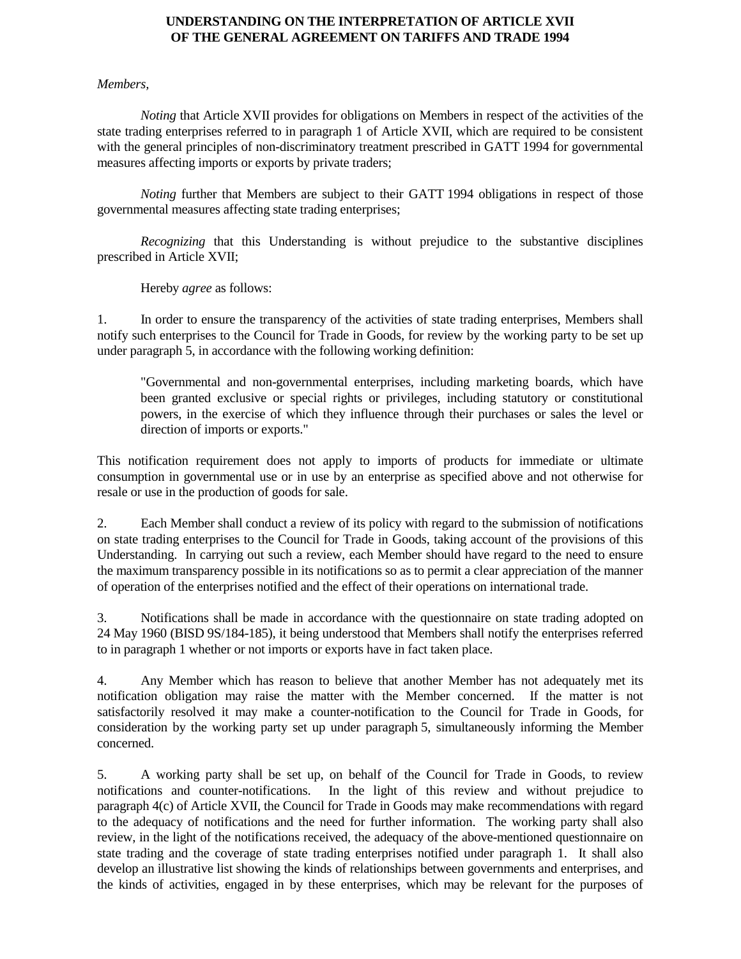## **UNDERSTANDING ON THE INTERPRETATION OF ARTICLE XVII OF THE GENERAL AGREEMENT ON TARIFFS AND TRADE 1994**

## *Members,*

*Noting* that Article XVII provides for obligations on Members in respect of the activities of the state trading enterprises referred to in paragraph 1 of Article XVII, which are required to be consistent with the general principles of non-discriminatory treatment prescribed in GATT 1994 for governmental measures affecting imports or exports by private traders;

*Noting* further that Members are subject to their GATT 1994 obligations in respect of those governmental measures affecting state trading enterprises;

*Recognizing* that this Understanding is without prejudice to the substantive disciplines prescribed in Article XVII;

Hereby *agree* as follows:

1. In order to ensure the transparency of the activities of state trading enterprises, Members shall notify such enterprises to the Council for Trade in Goods, for review by the working party to be set up under paragraph 5, in accordance with the following working definition:

"Governmental and non-governmental enterprises, including marketing boards, which have been granted exclusive or special rights or privileges, including statutory or constitutional powers, in the exercise of which they influence through their purchases or sales the level or direction of imports or exports."

This notification requirement does not apply to imports of products for immediate or ultimate consumption in governmental use or in use by an enterprise as specified above and not otherwise for resale or use in the production of goods for sale.

2. Each Member shall conduct a review of its policy with regard to the submission of notifications on state trading enterprises to the Council for Trade in Goods, taking account of the provisions of this Understanding. In carrying out such a review, each Member should have regard to the need to ensure the maximum transparency possible in its notifications so as to permit a clear appreciation of the manner of operation of the enterprises notified and the effect of their operations on international trade.

3. Notifications shall be made in accordance with the questionnaire on state trading adopted on 24 May 1960 (BISD 9S/184-185), it being understood that Members shall notify the enterprises referred to in paragraph 1 whether or not imports or exports have in fact taken place.

4. Any Member which has reason to believe that another Member has not adequately met its notification obligation may raise the matter with the Member concerned. If the matter is not satisfactorily resolved it may make a counter-notification to the Council for Trade in Goods, for consideration by the working party set up under paragraph 5, simultaneously informing the Member concerned.

5. A working party shall be set up, on behalf of the Council for Trade in Goods, to review notifications and counter-notifications. In the light of this review and without prejudice to paragraph 4(c) of Article XVII, the Council for Trade in Goods may make recommendations with regard to the adequacy of notifications and the need for further information. The working party shall also review, in the light of the notifications received, the adequacy of the above-mentioned questionnaire on state trading and the coverage of state trading enterprises notified under paragraph 1. It shall also develop an illustrative list showing the kinds of relationships between governments and enterprises, and the kinds of activities, engaged in by these enterprises, which may be relevant for the purposes of